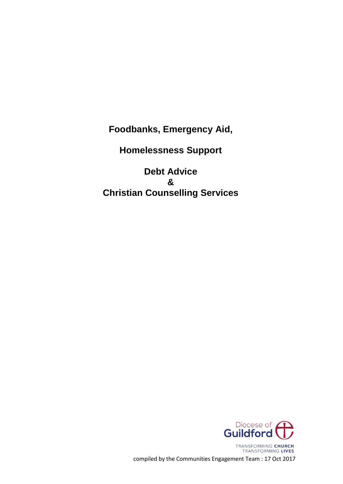**Foodbanks, Emergency Aid,**

**Homelessness Support**

**Debt Advice & Christian Counselling Services**

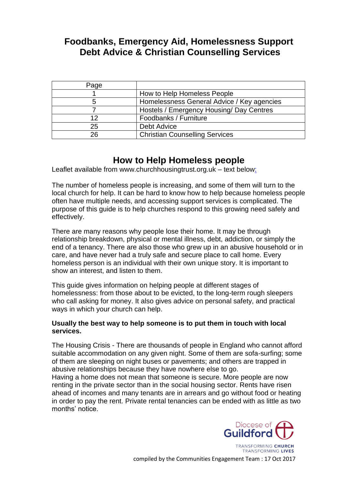# **Foodbanks, Emergency Aid, Homelessness Support Debt Advice & Christian Counselling Services**

| Page |                                            |
|------|--------------------------------------------|
|      | How to Help Homeless People                |
| 5    | Homelessness General Advice / Key agencies |
|      | Hostels / Emergency Housing/ Day Centres   |
| 12   | Foodbanks / Furniture                      |
| 25   | <b>Debt Advice</b>                         |
| 26   | <b>Christian Counselling Services</b>      |

# **How to Help Homeless people**

Leaflet available from [www.churchhousingtrust.org.uk](http://www.churchhousingtrust.org.uk/) – text below:

The number of homeless people is increasing, and some of them will turn to the local church for help. It can be hard to know how to help because homeless people often have multiple needs, and accessing support services is complicated. The purpose of this guide is to help churches respond to this growing need safely and effectively.

There are many reasons why people lose their home. It may be through relationship breakdown, physical or mental illness, debt, addiction, or simply the end of a tenancy. There are also those who grew up in an abusive household or in care, and have never had a truly safe and secure place to call home. Every homeless person is an individual with their own unique story. It is important to show an interest, and listen to them.

This guide gives information on helping people at different stages of homelessness: from those about to be evicted, to the long-term rough sleepers who call asking for money. It also gives advice on personal safety, and practical ways in which your church can help.

#### **Usually the best way to help someone is to put them in touch with local services.**

The Housing Crisis - There are thousands of people in England who cannot afford suitable accommodation on any given night. Some of them are sofa-surfing; some of them are sleeping on night buses or pavements; and others are trapped in abusive relationships because they have nowhere else to go.

Having a home does not mean that someone is secure. More people are now renting in the private sector than in the social housing sector. Rents have risen ahead of incomes and many tenants are in arrears and go without food or heating in order to pay the rent. Private rental tenancies can be ended with as little as two months' notice.

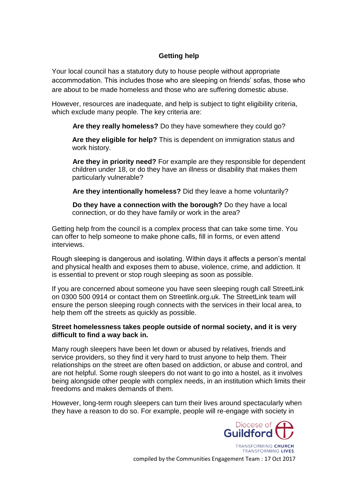# **Getting help**

Your local council has a statutory duty to house people without appropriate accommodation. This includes those who are sleeping on friends' sofas, those who are about to be made homeless and those who are suffering domestic abuse.

However, resources are inadequate, and help is subject to tight eligibility criteria, which exclude many people. The key criteria are:

**Are they really homeless?** Do they have somewhere they could go?

**Are they eligible for help?** This is dependent on immigration status and work history.

**Are they in priority need?** For example are they responsible for dependent children under 18, or do they have an illness or disability that makes them particularly vulnerable?

**Are they intentionally homeless?** Did they leave a home voluntarily?

**Do they have a connection with the borough?** Do they have a local connection, or do they have family or work in the area?

Getting help from the council is a complex process that can take some time. You can offer to help someone to make phone calls, fill in forms, or even attend interviews.

Rough sleeping is dangerous and isolating. Within days it affects a person's mental and physical health and exposes them to abuse, violence, crime, and addiction. It is essential to prevent or stop rough sleeping as soon as possible.

If you are concerned about someone you have seen sleeping rough call StreetLink on 0300 500 0914 or contact them on Streetlink.org.uk. The StreetLink team will ensure the person sleeping rough connects with the services in their local area, to help them off the streets as quickly as possible.

#### **Street homelessness takes people outside of normal society, and it is very difficult to find a way back in.**

Many rough sleepers have been let down or abused by relatives, friends and service providers, so they find it very hard to trust anyone to help them. Their relationships on the street are often based on addiction, or abuse and control, and are not helpful. Some rough sleepers do not want to go into a hostel, as it involves being alongside other people with complex needs, in an institution which limits their freedoms and makes demands of them.

However, long-term rough sleepers can turn their lives around spectacularly when they have a reason to do so. For example, people will re-engage with society in

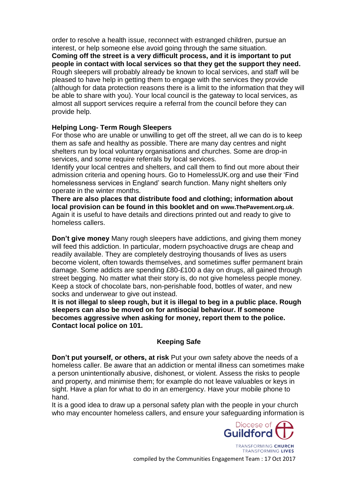order to resolve a health issue, reconnect with estranged children, pursue an interest, or help someone else avoid going through the same situation. **Coming off the street is a very difficult process, and it is important to put people in contact with local services so that they get the support they need.**  Rough sleepers will probably already be known to local services, and staff will be pleased to have help in getting them to engage with the services they provide (although for data protection reasons there is a limit to the information that they will be able to share with you). Your local council is the gateway to local services, as almost all support services require a referral from the council before they can provide help.

#### **Helping Long- Term Rough Sleepers**

For those who are unable or unwilling to get off the street, all we can do is to keep them as safe and healthy as possible. There are many day centres and night shelters run by local voluntary organisations and churches. Some are drop-in services, and some require referrals by local services.

Identify your local centres and shelters, and call them to find out more about their admission criteria and opening hours. Go to HomelessUK.org and use their 'Find homelessness services in England' search function. Many night shelters only operate in the winter months.

**There are also places that distribute food and clothing; information about local provision can be found in this booklet and on www.ThePavement.org.uk**. Again it is useful to have details and directions printed out and ready to give to homeless callers.

**Don't give money** Many rough sleepers have addictions, and giving them money will feed this addiction. In particular, modern psychoactive drugs are cheap and readily available. They are completely destroying thousands of lives as users become violent, often towards themselves, and sometimes suffer permanent brain damage. Some addicts are spending £80-£100 a day on drugs, all gained through street begging. No matter what their story is, do not give homeless people money. Keep a stock of chocolate bars, non-perishable food, bottles of water, and new socks and underwear to give out instead.

**It is not illegal to sleep rough, but it is illegal to beg in a public place. Rough sleepers can also be moved on for antisocial behaviour. If someone becomes aggressive when asking for money, report them to the police. Contact local police on 101.**

# **Keeping Safe**

**Don't put yourself, or others, at risk** Put your own safety above the needs of a homeless caller. Be aware that an addiction or mental illness can sometimes make a person unintentionally abusive, dishonest, or violent. Assess the risks to people and property, and minimise them; for example do not leave valuables or keys in sight. Have a plan for what to do in an emergency. Have your mobile phone to hand.

It is a good idea to draw up a personal safety plan with the people in your church who may encounter homeless callers, and ensure your safeguarding information is

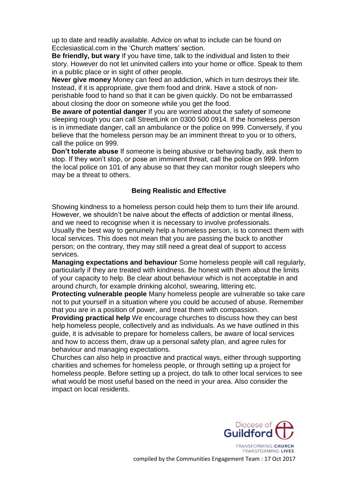up to date and readily available. Advice on what to include can be found on Ecclesiastical.com in the 'Church matters' section.

**Be friendly, but wary** If you have time, talk to the individual and listen to their story. However do not let uninvited callers into your home or office. Speak to them in a public place or in sight of other people.

**Never give money** Money can feed an addiction, which in turn destroys their life. Instead, if it is appropriate, give them food and drink. Have a stock of nonperishable food to hand so that it can be given quickly. Do not be embarrassed about closing the door on someone while you get the food.

**Be aware of potential danger** If you are worried about the safety of someone sleeping rough you can call StreetLink on 0300 500 0914. If the homeless person is in immediate danger, call an ambulance or the police on 999. Conversely, if you believe that the homeless person may be an imminent threat to you or to others, call the police on 999.

**Don't tolerate abuse** If someone is being abusive or behaving badly, ask them to stop. If they won't stop, or pose an imminent threat, call the police on 999. Inform the local police on 101 of any abuse so that they can monitor rough sleepers who may be a threat to others.

#### **Being Realistic and Effective**

Showing kindness to a homeless person could help them to turn their life around. However, we shouldn't be naive about the effects of addiction or mental illness, and we need to recognise when it is necessary to involve professionals. Usually the best way to genuinely help a homeless person, is to connect them with local services. This does not mean that you are passing the buck to another person; on the contrary, they may still need a great deal of support to access services.

**Managing expectations and behaviour** Some homeless people will call regularly, particularly if they are treated with kindness. Be honest with them about the limits of your capacity to help. Be clear about behaviour which is not acceptable in and around church, for example drinking alcohol, swearing, littering etc.

**Protecting vulnerable people** Many homeless people are vulnerable so take care not to put yourself in a situation where you could be accused of abuse. Remember that you are in a position of power, and treat them with compassion.

**Providing practical help** We encourage churches to discuss how they can best help homeless people, collectively and as individuals. As we have outlined in this guide, it is advisable to prepare for homeless callers, be aware of local services and how to access them, draw up a personal safety plan, and agree rules for behaviour and managing expectations.

Churches can also help in proactive and practical ways, either through supporting charities and schemes for homeless people, or through setting up a project for homeless people. Before setting up a project, do talk to other local services to see what would be most useful based on the need in your area. Also consider the impact on local residents.



TRANSFORMING LIVES compiled by the Communities Engagement Team : 17 Oct 2017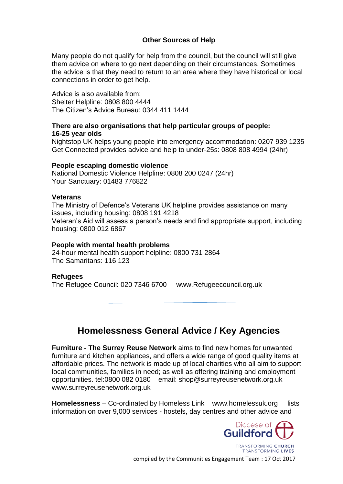#### **Other Sources of Help**

Many people do not qualify for help from the council, but the council will still give them advice on where to go next depending on their circumstances. Sometimes the advice is that they need to return to an area where they have historical or local connections in order to get help.

Advice is also available from: Shelter Helpline: 0808 800 4444 The Citizen's Advice Bureau: 0344 411 1444

#### **There are also organisations that help particular groups of people: 16-25 year olds**

Nightstop UK helps young people into emergency accommodation: 0207 939 1235 Get Connected provides advice and help to under-25s: 0808 808 4994 (24hr)

#### **People escaping domestic violence**

National Domestic Violence Helpline: 0808 200 0247 (24hr) Your Sanctuary: 01483 776822

#### **Veterans**

The Ministry of Defence's Veterans UK helpline provides assistance on many issues, including housing: 0808 191 4218 Veteran's Aid will assess a person's needs and find appropriate support, including housing: 0800 012 6867

#### **People with mental health problems**

24-hour mental health support helpline: 0800 731 2864 The Samaritans: 116 123

#### **Refugees**

The Refugee Council: 020 7346 6700 www.Refugeecouncil.org.uk

# **Homelessness General Advice / Key Agencies**

**Furniture - The Surrey Reuse Network** aims to find new homes for unwanted furniture and kitchen appliances, and offers a wide range of good quality items at affordable prices. The network is made up of local charities who all aim to support local communities, families in need; as well as offering training and employment opportunities. tel:0800 082 0180 email: shop@surreyreusenetwork.org.uk www.surreyreusenetwork.org.uk

**Homelessness** – Co-ordinated by Homeless Link www.homelessuk.org lists information on over 9,000 services - hostels, day centres and other advice and

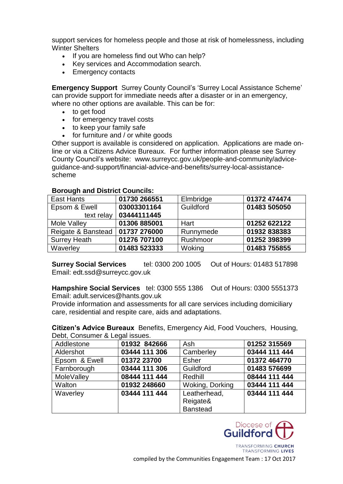support services for homeless people and those at risk of homelessness, including Winter Shelters

- If you are homeless find out Who can help?
- Key services and Accommodation search.
- Emergency contacts

**Emergency Support** Surrey County Council's 'Surrey Local Assistance Scheme' can provide support for immediate needs after a disaster or in an emergency, where no other options are available. This can be for:

- to get food
- for emergency travel costs
- to keep your family safe
- for furniture and / or white goods

Other support is available is considered on application. Applications are made online or via a Citizens Advice Bureaux. For further information please see Surrey County Council's website: www.surreycc.gov.uk/people-and-community/adviceguidance-and-support/financial-advice-and-benefits/surrey-local-assistancescheme

| East Hants          | 01730 266551 | Elmbridge | 01372 474474 |
|---------------------|--------------|-----------|--------------|
| Epsom & Ewell       | 03003301164  | Guildford | 01483 505050 |
| text relay          | 03444111445  |           |              |
| Mole Valley         | 01306 885001 | Hart      | 01252 622122 |
| Reigate & Banstead  | 01737 276000 | Runnymede | 01932 838383 |
| <b>Surrey Heath</b> | 01276 707100 | Rushmoor  | 01252 398399 |
| Waverley            | 01483 523333 | Woking    | 01483 755855 |

#### **Borough and District Councils:**

**Surrey Social Services** tel: 0300 200 1005 Out of Hours: 01483 517898 Email: edt.ssd@surreycc.gov.uk

**Hampshire Social Services** tel: 0300 555 1386 Out of Hours: 0300 5551373 Email: adult.services@hants.gov.uk

Provide information and assessments for all care services including domiciliary care, residential and respite care, aids and adaptations.

**Citizen's Advice Bureaux** Benefits, Emergency Aid, Food Vouchers, Housing, Debt, Consumer & Legal issues.

| DODI, OOHOGHTOF & EUGALIOUGOO. |               |                 |               |
|--------------------------------|---------------|-----------------|---------------|
| Addlestone                     | 01932 842666  | Ash             | 01252 315569  |
| Aldershot                      | 03444 111 306 | Camberley       | 03444 111 444 |
| Epsom & Ewell                  | 01372 23700   | Esher           | 01372 464770  |
| Farnborough                    | 03444 111 306 | Guildford       | 01483 576699  |
| MoleValley                     | 08444 111 444 | Redhill         | 08444 111 444 |
| Walton                         | 01932 248660  | Woking, Dorking | 03444 111 444 |
| Waverley                       | 03444 111 444 | Leatherhead,    | 03444 111 444 |
|                                |               | Reigate&        |               |
|                                |               | <b>Banstead</b> |               |



TRANSFORMING CHURCH **TRANSFORMING LIVES**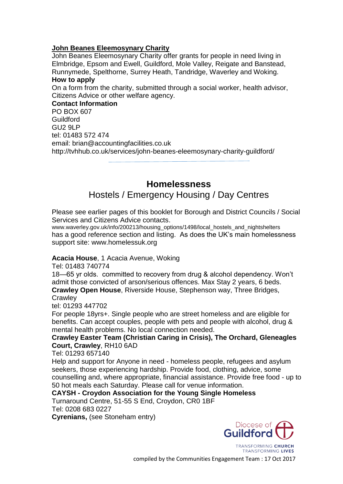#### **John Beanes Eleemosynary Charity**

John Beanes Eleemosynary Charity offer grants for people in need living in Elmbridge, Epsom and Ewell, Guildford, Mole Valley, Reigate and Banstead, Runnymede, Spelthorne, Surrey Heath, Tandridge, Waverley and Woking. **How to apply**

On a form from the charity, submitted through a social worker, health advisor, Citizens Advice or other welfare agency.

**Contact Information** PO BOX 607 Guildford GU2 9LP tel: 01483 572 474 email: brian@accountingfacilities.co.uk http://tvhhub.co.uk/services/john-beanes-eleemosynary-charity-guildford/

# **Homelessness**

# Hostels / Emergency Housing / Day Centres

Please see earlier pages of this booklet for Borough and District Councils / Social Services and Citizens Advice contacts.

www.waverley.gov.uk/info/200213/housing\_options/1498/local\_hostels\_and\_nightshelters has a good reference section and listing. As does the UK's main homelessness support site: www.homelessuk.org

#### **Acacia House**, 1 Acacia Avenue, Woking

Tel: 01483 740774

18—65 yr olds. committed to recovery from drug & alcohol dependency. Won't admit those convicted of arson/serious offences. Max Stay 2 years, 6 beds.

**Crawley Open House**, Riverside House, Stephenson way, Three Bridges, **Crawley** 

tel: 01293 447702

For people 18yrs+. Single people who are street homeless and are eligible for benefits. Can accept couples, people with pets and people with alcohol, drug & mental health problems. No local connection needed.

#### **Crawley Easter Team (Christian Caring in Crisis), The Orchard, Gleneagles Court, Crawley**, RH10 6AD

Tel: 01293 657140

Help and support for Anyone in need - homeless people, refugees and asylum seekers, those experiencing hardship. Provide food, clothing, advice, some counselling and, where appropriate, financial assistance. Provide free food - up to 50 hot meals each Saturday. Please call for venue information.

# **CAYSH - Croydon Association for the Young Single Homeless**

Turnaround Centre, 51-55 S End, Croydon, CR0 1BF Tel: 0208 683 0227

**Cyrenians,** (see Stoneham entry)

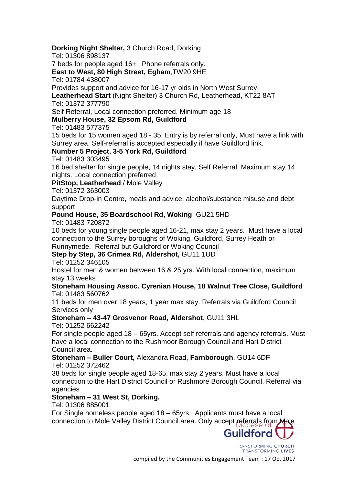**Dorking Night Shelter,** 3 Church Road, Dorking

Tel: 01306 898137

7 beds for people aged 16+. Phone referrals only.

**East to West, 80 High Street, Egham**,TW20 9HE

Tel: 01784 438007

Provides support and advice for 16-17 yr olds in North West Surrey

**Leatherhead Start** (Night Shelter) 3 Church Rd, Leatherhead, KT22 8AT Tel: 01372 377790

Self Referral, Local connection preferred. Minimum age 18

# **Mulberry House, 32 Epsom Rd, Guildford**

Tel: 01483 577375

15 beds for 15 women aged 18 - 35. Entry is by referral only, Must have a link with Surrey area. Self-referral is accepted especially if have Guildford link.

# **Number 5 Project, 3-5 York Rd, Guildford**

Tel: 01483 303495

16 bed shelter for single people, 14 nights stay. Self Referral. Maximum stay 14 nights. Local connection preferred

**PitStop, Leatherhead** / Mole Valley

Tel: 01372 363003

Daytime Drop-in Centre, meals and advice, alcohol/substance misuse and debt support

# **Pound House, 35 Boardschool Rd, Woking**, GU21 5HD

Tel: 01483 720872

10 beds for young single people aged 16-21, max stay 2 years. Must have a local connection to the Surrey boroughs of Woking, Guildford, Surrey Heath or

Runnymede. Referral but Guildford or Woking Council

# **Step by Step, 36 Crimea Rd, Aldershot,** GU11 1UD

Tel: 01252 346105

Hostel for men & women between 16 & 25 yrs. With local connection, maximum stay 13 weeks

#### **Stoneham Housing Assoc. Cyrenian House, 18 Walnut Tree Close, Guildford** Tel: 01483 560762

11 beds for men over 18 years, 1 year max stay. Referrals via Guildford Council Services only

# **Stoneham – 43-47 Grosvenor Road, Aldershot**, GU11 3HL

Tel: 01252 662242

For single people aged 18 – 65yrs. Accept self referrals and agency referrals. Must have a local connection to the Rushmoor Borough Council and Hart District Council area.

#### **Stoneham – Buller Court,** Alexandra Road, **Farnborough**, GU14 6DF Tel: 01252 372462

38 beds for single people aged 18-65, max stay 2 years. Must have a local connection to the Hart District Council or Rushmore Borough Council. Referral via agencies

# **Stoneham – 31 West St, Dorking.**

Tel: 01306 885001

For Single homeless people aged 18 – 65yrs.. Applicants must have a local connection to Mole Valley District Council area. Only accept referrals from Mole

> TRANSFORMING CHURCH TRANSFORMING LIVES

Guildford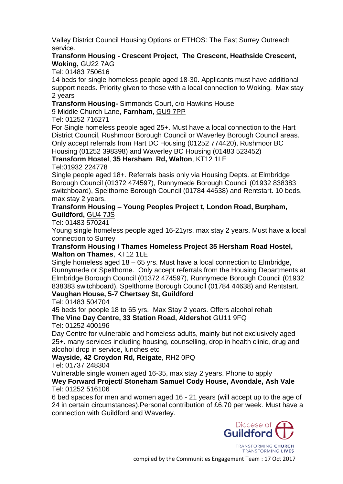Valley District Council Housing Options or ETHOS: The East Surrey Outreach service.

### **Transform Housing - Crescent Project, The Crescent, Heathside Crescent, Woking,** GU22 7AG

Tel: 01483 750616

14 beds for single homeless people aged 18-30. Applicants must have additional support needs. Priority given to those with a local connection to Woking. Max stay 2 years

**Transform Housing-** Simmonds Court, c/o Hawkins House

9 Middle Church Lane, **Farnham**, [GU9 7PP](http://www.homelessuk.org/homeless-england/search-near-me?distance%5bpostal_code%5d=&distance%5bsearch_distance%5d=5&distance%5bsearch_units%5d=mile&items_per_page=25)

Tel: 01252 716271

For Single homeless people aged 25+. Must have a local connection to the Hart District Council, Rushmoor Borough Council or Waverley Borough Council areas. Only accept referrals from Hart DC Housing (01252 774420), Rushmoor BC Housing (01252 398398) and Waverley BC Housing (01483 523452)

**Transform Hostel**, **35 Hersham Rd, Walton**, KT12 1LE Tel:01932 224778

Single people aged 18+. Referrals basis only via Housing Depts. at Elmbridge Borough Council (01372 474597), Runnymede Borough Council (01932 838383 switchboard), Spelthorne Borough Council (01784 44638) and Rentstart. 10 beds, max stay 2 years.

### **Transform Housing – Young Peoples Project t, London Road, Burpham, Guildford,** [GU4 7JS](http://www.homelessuk.org/homeless-england/search-near-me?distance%5bpostal_code%5d=&distance%5bsearch_distance%5d=5&distance%5bsearch_units%5d=mile&items_per_page=25)

Tel: 01483 570241

Young single homeless people aged 16-21yrs, max stay 2 years. Must have a local connection to Surrey

#### **Transform Housing / Thames Homeless Project 35 Hersham Road Hostel, Walton on Thames**, KT12 1LE

Single homeless aged 18 – 65 yrs. Must have a local connection to Elmbridge, Runnymede or Spelthorne. Only accept referrals from the Housing Departments at Elmbridge Borough Council (01372 474597), Runnymede Borough Council (01932 838383 switchboard), Spelthorne Borough Council (01784 44638) and Rentstart. **Vaughan House, 5-7 Chertsey St, Guildford**

Tel: 01483 504704

45 beds for people 18 to 65 yrs. Max Stay 2 years. Offers alcohol rehab **The Vine Day Centre, 33 Station Road, Aldershot** GU11 9FQ

Tel: 01252 400196

Day Centre for vulnerable and homeless adults, mainly but not exclusively aged 25+. many services including housing, counselling, drop in health clinic, drug and alcohol drop in service, lunches etc

**Wayside, 42 Croydon Rd, Reigate**, RH2 0PQ

Tel: 01737 248304

Vulnerable single women aged 16-35, max stay 2 years. Phone to apply **Wey Forward Project/ Stoneham Samuel Cody House, Avondale, Ash Vale**

#### Tel: 01252 516106

6 bed spaces for men and women aged 16 - 21 years (will accept up to the age of 24 in certain circumstances).Personal contribution of £6.70 per week. Must have a connection with Guildford and Waverley.

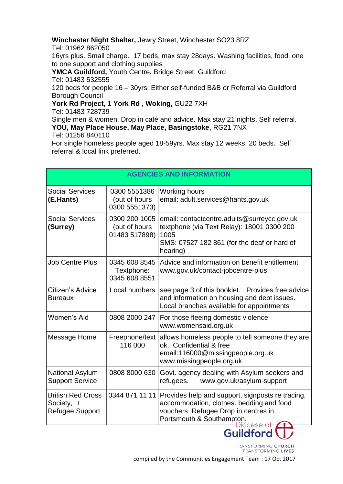# **Winchester Night Shelter,** Jewry Street, Winchester SO23 8RZ

Tel: 01962 862050

16yrs plus. Small charge. 17 beds, max stay 28days. Washing facilities, food, one to one support and clothing supplies

**YMCA Guildford,** Youth Centre**,** Bridge Street, Guildford Tel: 01483 532555 120 beds for people 16 – 30yrs. Either self-funded B&B or Referral via Guildford Borough Council

**York Rd Project, 1 York Rd , Woking,** GU22 7XH

Tel: 01483 728739

Single men & women. Drop in café and advice. Max stay 21 nights. Self referral. **YOU, May Place House, May Place, Basingstoke**, RG21 7NX

Tel: 01256 840110

For single homeless people aged 18-59yrs. Max stay 12 weeks. 20 beds. Self referral & local link preferred.

| <b>AGENCIES AND INFORMATION</b>                                  |                                                 |                                                                                                                                                                                   |
|------------------------------------------------------------------|-------------------------------------------------|-----------------------------------------------------------------------------------------------------------------------------------------------------------------------------------|
| <b>Social Services</b><br>(E.Hants)                              | 0300 5551386<br>(out of hours<br>0300 5551373)  | Working hours<br>email: adult.services@hants.gov.uk                                                                                                                               |
| <b>Social Services</b><br>(Surrey)                               | 0300 200 1005<br>(out of hours<br>01483 517898) | email: contactcentre.adults@surreycc.gov.uk<br>textphone (via Text Relay): 18001 0300 200<br>1005<br>SMS: 07527 182 861 (for the deaf or hard of<br>hearing)                      |
| <b>Job Centre Plus</b>                                           | 0345 608 8545<br>Textphone:<br>0345 608 8551    | Advice and information on benefit entitlement<br>www.gov.uk/contact-jobcentre-plus                                                                                                |
| Citizen's Advice<br><b>Bureaux</b>                               | Local numbers                                   | see page 3 of this booklet. Provides free advice<br>and information on housing and debt issues.<br>Local branches available for appointments                                      |
| Women's Aid                                                      | 0808 2000 247                                   | For those fleeing domestic violence<br>www.womensaid.org.uk                                                                                                                       |
| Message Home                                                     | Freephone/text<br>116 000                       | allows homeless people to tell someone they are<br>ok. Confidential & free<br>email:116000@missingpeople.org.uk<br>www.missingpeople.org.uk                                       |
| <b>National Asylum</b><br><b>Support Service</b>                 | 0808 8000 630                                   | Govt. agency dealing with Asylum seekers and<br>refugees. www.gov.uk/asylum-support                                                                                               |
| <b>British Red Cross</b><br>Society, +<br><b>Refugee Support</b> |                                                 | 0344 871 11 11   Provides help and support, signposts re tracing,<br>accommodation, clothes. bedding and food<br>vouchers Refugee Drop in centres in<br>Portsmouth & Southampton. |

TRANSFORMING CHURCH **TRANSFORMING LIVES** 

Guildford<sup>(</sup>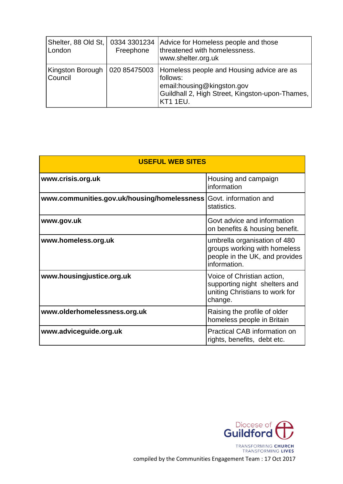| Shelter, 88 Old St,   0334 3301234<br>London | Freephone    | Advice for Homeless people and those<br>threatened with homelessness.<br>www.shelter.org.uk                                                               |
|----------------------------------------------|--------------|-----------------------------------------------------------------------------------------------------------------------------------------------------------|
| Kingston Borough<br>Council                  | 020 85475003 | Homeless people and Housing advice are as<br>follows:<br>email:housing@kingston.gov<br>Guildhall 2, High Street, Kingston-upon-Thames,<br><b>KT1 1EU.</b> |

| <b>USEFUL WEB SITES</b>                     |                                                                                                                |  |
|---------------------------------------------|----------------------------------------------------------------------------------------------------------------|--|
| www.crisis.org.uk                           | Housing and campaign<br>information                                                                            |  |
| www.communities.gov.uk/housing/homelessness | Govt. information and<br>statistics.                                                                           |  |
| www.gov.uk                                  | Govt advice and information<br>on benefits & housing benefit.                                                  |  |
| www.homeless.org.uk                         | umbrella organisation of 480<br>groups working with homeless<br>people in the UK, and provides<br>information. |  |
| www.housingjustice.org.uk                   | Voice of Christian action,<br>supporting night shelters and<br>uniting Christians to work for<br>change.       |  |
| www.olderhomelessness.org.uk                | Raising the profile of older<br>homeless people in Britain                                                     |  |
| www.adviceguide.org.uk                      | Practical CAB information on<br>rights, benefits, debt etc.                                                    |  |

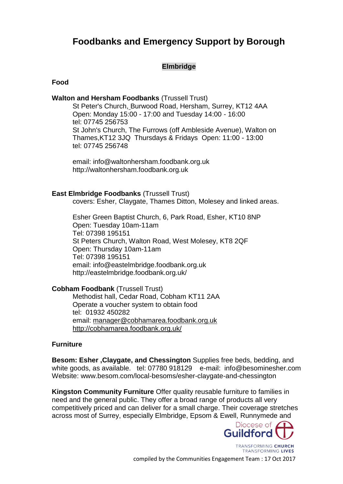# **Foodbanks and Emergency Support by Borough**

# **Elmbridge**

**Food**

#### **Walton and Hersham Foodbanks** (Trussell Trust)

[St Peter's Church,](http://www.stpetershersham.com/) Burwood Road, Hersham, Surrey, KT12 4AA Open: Monday 15:00 - 17:00 and Tuesday 14:00 - 16:00 tel: 07745 256753 St John's Church, The Furrows (off Ambleside Avenue), Walton on Thames,KT12 3JQ Thursdays & FridaysOpen: 11:00 - 13:00 tel: 07745 256748

email: info@waltonhersham.foodbank.org.uk http://waltonhersham.foodbank.org.uk

#### **East Elmbridge Foodbanks** (Trussell Trust)

covers: Esher, Claygate, Thames Ditton, Molesey and linked areas.

Esher Green Baptist Church, 6, Park Road, Esher, KT10 8NP Open: Tuesday 10am-11am Tel: 07398 195151 St Peters Church, Walton Road, West Molesey, KT8 2QF Open: Thursday 10am-11am Tel: 07398 195151 email: info@eastelmbridge.foodbank.org.uk http://eastelmbridge.foodbank.org.uk/

**Cobham Foodbank** (Trussell Trust)

Methodist hall, Cedar Road, Cobham KT11 2AA Operate a voucher system to obtain food tel: 01932 450282 email: [manager@cobhamarea.foodbank.org.uk](mailto:manager@cobhamarea.foodbank.org.uk) <http://cobhamarea.foodbank.org.uk/>

#### **Furniture**

**Besom: Esher ,Claygate, and Chessington** Supplies free beds, bedding, and white goods, as available. tel: 07780 918129 e-mail: info@besominesher.com Website: www.besom.com/local-besoms/esher-claygate-and-chessington

**Kingston Community Furniture** Offer quality reusable furniture to families in need and the general public. They offer a broad range of products all very competitively priced and can deliver for a small charge. Their coverage stretches across most of Surrey, especially Elmbridge, Epsom & Ewell, Runnymede and

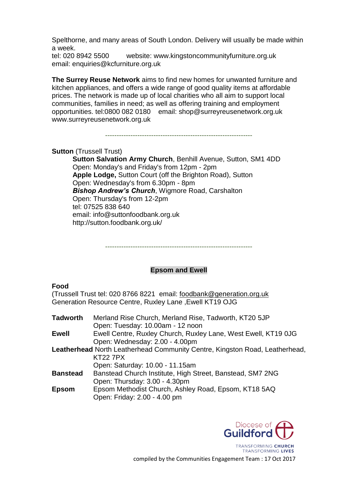Spelthorne, and many areas of South London. Delivery will usually be made within a week.

tel: 020 8942 5500 website: www.kingstoncommunityfurniture.org.uk email: enquiries@kcfurniture.org.uk

**The Surrey Reuse Network** aims to find new homes for unwanted furniture and kitchen appliances, and offers a wide range of good quality items at affordable prices. The network is made up of local charities who all aim to support local communities, families in need; as well as offering training and employment opportunities. tel:0800 082 0180 email: shop@surreyreusenetwork.org.uk www.surreyreusenetwork.org.uk

----------------------------------------------------------------

#### **Sutton** (Trussell Trust)

**[Sutton Salvation Army Church](http://maps.google.com/maps?oe=UTF-8&gfns=1&q=SM1+4DD&um=1&ie=UTF-8&hq=&hnear=Sutton+SM1+4DD,+UK&ei=q-62TMyhGM6OjAfbxbiVCg&sa=X&oi=geocode_result&ct=title&resnum=1&ved=0CBMQ8gEwAA)**, Benhill Avenue, Sutton, SM1 4DD Open: Monday's and Friday's from 12pm - 2pm **[Apple Lodge,](http://maps.google.co.uk/maps?q=Sutton+Court,+Sutton&oe=utf-8&rls=org.mozilla:en-US:official&client=firefox-a&um=1&ie=UTF-8&hq=&hnear=Sutton+Ct,+Sutton,+Greater+London+SM2+5&gl=uk&ei=Zu62TNKmIcSa4Abz6oHoCQ&sa=X&oi=geocode_result&ct=title&resnum=1&ved=0CBkQ8gEwAA)** Sutton Court (off the Brighton Road), Sutton Open: Wednesday's from 6.30pm - 8pm *Bishop Andrew's Church*, Wigmore Road, Carshalton Open: Thursday's from 12-2pm tel: 07525 838 640 email: info@suttonfoodbank.org.uk http://sutton.foodbank.org.uk/

----------------------------------------------------------------

#### **Epsom and Ewell**

#### **Food**

(Trussell Trust tel: 020 8766 8221 email: [foodbank@generation.org.uk](mailto:foodbank@generation.org.uk) Generation Resource Centre, Ruxley Lane ,Ewell KT19 OJG

| <b>Tadworth</b> | Merland Rise Church, Merland Rise, Tadworth, KT20 5JP                       |
|-----------------|-----------------------------------------------------------------------------|
|                 | Open: Tuesday: 10.00am - 12 noon                                            |
| Ewell           | Ewell Centre, Ruxley Church, Ruxley Lane, West Ewell, KT19 0JG              |
|                 | Open: Wednesday: 2.00 - 4.00pm                                              |
|                 | Leatherhead North Leatherhead Community Centre, Kingston Road, Leatherhead, |
|                 | <b>KT227PX</b>                                                              |
|                 | Open: Saturday: 10.00 - 11.15am                                             |
| <b>Banstead</b> | Banstead Church Institute, High Street, Banstead, SM7 2NG                   |
|                 | Open: Thursday: 3.00 - 4.30pm                                               |
| <b>Epsom</b>    | Epsom Methodist Church, Ashley Road, Epsom, KT18 5AQ                        |
|                 | Open: Friday: 2.00 - 4.00 pm                                                |
|                 |                                                                             |

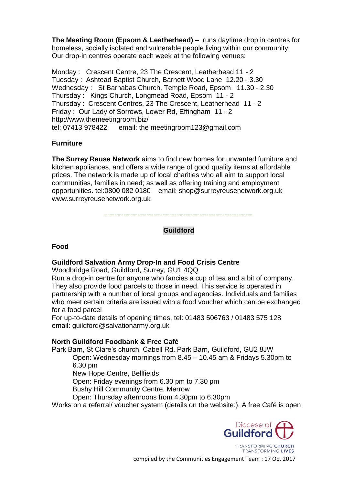**The Meeting Room (Epsom & Leatherhead) –** runs daytime drop in centres for homeless, socially isolated and vulnerable people living within our community. Our drop-in centres operate each week at the following venues:

Monday : Crescent Centre, 23 The Crescent, Leatherhead 11 - 2 Tuesday : Ashtead Baptist Church, Barnett Wood Lane 12.20 - 3.30 Wednesday : St Barnabas Church, Temple Road, Epsom 11.30 - 2.30 Thursday : Kings Church, Longmead Road, Epsom 11 - 2 Thursday : Crescent Centres, 23 The Crescent, Leatherhead 11 - 2 Friday : Our Lady of Sorrows, Lower Rd, Effingham 11 - 2 http://www.themeetingroom.biz/ tel: 07413 978422 email: the meetingroom123@gmail.com

#### **Furniture**

**The Surrey Reuse Network** aims to find new homes for unwanted furniture and kitchen appliances, and offers a wide range of good quality items at affordable prices. The network is made up of local charities who all aim to support local communities, families in need; as well as offering training and employment opportunities. tel:0800 082 0180 email: shop@surreyreusenetwork.org.uk www.surreyreusenetwork.org.uk

----------------------------------------------------------------

### **Guildford**

#### **Food**

#### **Guildford Salvation Army Drop-In and Food Crisis Centre**

Woodbridge Road, Guildford, Surrey, GU1 4QQ

Run a drop-in centre for anyone who fancies a cup of tea and a bit of company. They also provide food parcels to those in need. This service is operated in partnership with a number of local groups and agencies. Individuals and families who meet certain criteria are issued with a food voucher which can be exchanged for a food parcel

For up-to-date details of opening times, tel: 01483 506763 / 01483 575 128 email: guildford@salvationarmy.org.uk

#### **North Guildford Foodbank & Free Café**

Park Barn, St Clare's church, Cabell Rd, Park Barn, Guildford, GU2 8JW Open: Wednesday mornings from 8.45 – 10.45 am & Fridays 5.30pm to 6.30 pm

New Hope Centre, Bellfields

Open: Friday evenings from 6.30 pm to 7.30 pm

Bushy Hill Community Centre, Merrow

Open: Thursday afternoons from 4.30pm to 6.30pm

Works on a referral/ voucher system (details on the website:). A free Café is open

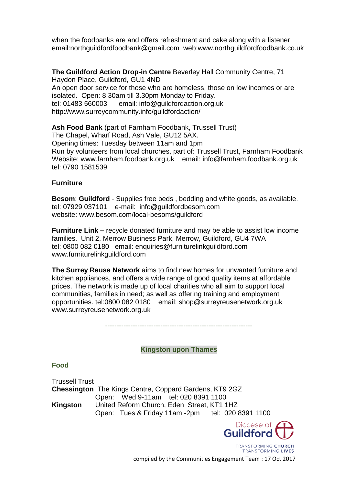when the foodbanks are and offers refreshment and cake along with a listener email:northguildfordfoodbank@gmail.com web:www.northguildfordfoodbank.co.uk

**The Guildford Action Drop-in Centre** Beverley Hall Community Centre, 71 Haydon Place, Guildford, GU1 4ND An open door service for those who are homeless, those on low incomes or are isolated. Open: 8.30am till 3.30pm Monday to Friday. tel: 01483 560003 email: info@guildfordaction.org.uk http://www.surreycommunity.info/guildfordaction/

**Ash Food Bank** (part of Farnham Foodbank, Trussell Trust) The Chapel, Wharf Road, Ash Vale, GU12 5AX. Opening times: Tuesday between 11am and 1pm Run by volunteers from local churches, part of: Trussell Trust, Farnham Foodbank Website: www.farnham.foodbank.org.uk email: info@farnham.foodbank.org.uk tel: 0790 1581539

#### **Furniture**

**Besom**: **Guildford** - Supplies free beds , bedding and white goods, as available. tel: 07929 037101 e-mail: info@guildfordbesom.com website: www.besom.com/local-besoms/guildford

**Furniture Link –** recycle donated furniture and may be able to assist low income families. Unit 2, Merrow Business Park, Merrow, Guildford, GU4 7WA tel: 0800 082 0180 email: enquiries@furniturelinkguildford.com www.furniturelinkguildford.com

**The Surrey Reuse Network** aims to find new homes for unwanted furniture and kitchen appliances, and offers a wide range of good quality items at affordable prices. The network is made up of local charities who all aim to support local communities, families in need; as well as offering training and employment opportunities. tel:0800 082 0180 email: shop@surreyreusenetwork.org.uk www.surreyreusenetwork.org.uk

----------------------------------------------------------------

#### **Kingston upon Thames**

**Food**

Trussell Trust **Chessington** The Kings Centre, Coppard Gardens, KT9 2GZ Open: Wed 9-11am tel: 020 8391 1100 **Kingston** United Reform Church, Eden Street, KT1 1HZ Open: Tues & Friday 11am -2pm tel: 020 8391 1100



TRANSFORMING CHURCH **TRANSFORMING LIVES**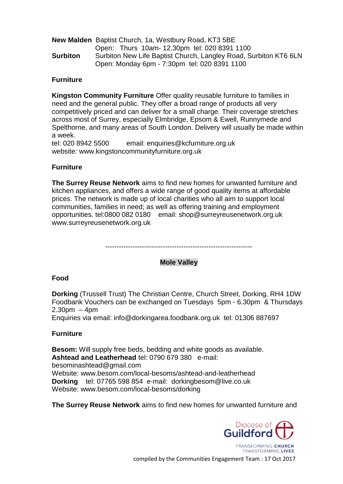|                 | <b>New Malden</b> Baptist Church, 1a, Westbury Road, KT3 5BE                                                     |  |
|-----------------|------------------------------------------------------------------------------------------------------------------|--|
|                 | Open: Thurs 10am-12.30pm tel: 020 8391 1100                                                                      |  |
| <b>Surbiton</b> | Surbiton New Life Baptist Church, Langley Road, Surbiton KT6 6LN<br>Open: Monday 6pm - 7:30pm tel: 020 8391 1100 |  |
|                 |                                                                                                                  |  |

#### **Furniture**

**Kingston Community Furniture** Offer quality reusable furniture to families in need and the general public. They offer a broad range of products all very competitively priced and can deliver for a small charge. Their coverage stretches across most of Surrey, especially Elmbridge, Epsom & Ewell, Runnymede and Spelthorne, and many areas of South London. Delivery will usually be made within a week.

tel: 020 8942 5500 email: enquiries@kcfurniture.org.uk website: www.kingstoncommunityfurniture.org.uk

#### **Furniture**

**The Surrey Reuse Network** aims to find new homes for unwanted furniture and kitchen appliances, and offers a wide range of good quality items at affordable prices. The network is made up of local charities who all aim to support local communities, families in need; as well as offering training and employment opportunities. tel:0800 082 0180 email: shop@surreyreusenetwork.org.uk www.surreyreusenetwork.org.uk

----------------------------------------------------------------

#### **Mole Valley**

#### **Food**

**Dorking** (Trussell Trust) The Christian Centre, Church Street, Dorking, RH4 1DW Foodbank Vouchers can be exchanged on Tuesdays 5pm - 6.30pm & Thursdays 2.30pm – 4pm

Enquiries via email: info@dorkingarea.foodbank.org.uk tel: 01306 887697

#### **Furniture**

**Besom:** Will supply free beds, bedding and white goods as available. **Ashtead and Leatherhead** tel: 0790 679 380 e-mail: besominashtead@gmail.com Website: www.besom.com/local-besoms/ashtead-and-leatherhead **Dorking** tel: 07765 598 854 e-mail: dorkingbesom@live.co.uk Website: www.besom.com/local-besoms/dorking

**The Surrey Reuse Network** aims to find new homes for unwanted furniture and



**TRANSFORMING LIVES**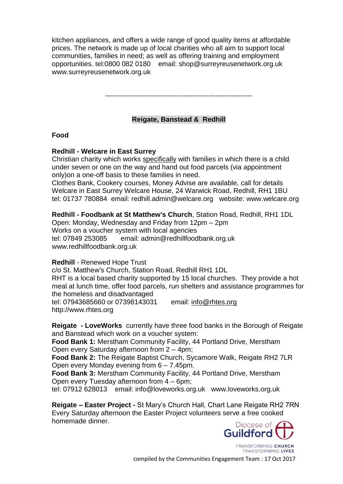kitchen appliances, and offers a wide range of good quality items at affordable prices. The network is made up of local charities who all aim to support local communities, families in need; as well as offering training and employment opportunities. tel:0800 082 0180 email: shop@surreyreusenetwork.org.uk www.surreyreusenetwork.org.uk

----------------------------------------------------------------

### **Reigate, Banstead & Redhill**

**Food**

#### **Redhill - Welcare in East Surrey**

Christian charity which works specifically with families in which there is a child under seven or one on the way and hand out food parcels (via appointment only)on a one-off basis to these families in need.

Clothes Bank, Cookery courses, Money Advise are available, call for details Welcare in East Surrey Welcare House, 24 Warwick Road, Redhill, RH1 1BU tel: 01737 780884 email: redhill.admin@welcare.orgwebsite: www.welcare.org

**Redhill - Foodbank at St Matthew's Church**, Station Road, Redhill, RH1 1DL

Open: Monday, Wednesday and Friday from 12pm – 2pm Works on a voucher system with local agencies tel: 07849 253085 email: admin@redhillfoodbank.org.uk www.redhillfoodbank.org.uk

#### **Redhill** - Renewed Hope Trust

c/o St. Matthew's Church, Station Road, Redhill RH1 1DL RHT is a local based charity supported by 15 local churches. They provide a hot meal at lunch time, offer food parcels, run shelters and assistance programmes for the homeless and disadvantaged tel: 07943685660 or 07398143031 email: [info@rhtes.org](mailto:info@rhtes.org)  http://www.rhtes.org

**Reigate - LoveWorks** currently have three food banks in the Borough of Reigate and Banstead which work on a voucher system:

**Food Bank 1:** Merstham Community Facility, 44 Portland Drive, Merstham Open every Saturday afternoon from 2 – 4pm;

**Food Bank 2:** The Reigate Baptist Church, Sycamore Walk, Reigate RH2 7LR Open every Monday evening from 6 – 7.45pm.

**Food Bank 3:** Merstham Community Facility, 44 Portland Drive, Merstham Open every Tuesday afternoon from 4 – 6pm;

tel: 07912 628013 email: info@loveworks.org.uk www.loveworks.org.uk

**Reigate – Easter Project -** St Mary's Church Hall, Chart Lane Reigate RH2 7RN Every Saturday afternoon the Easter Project volunteers serve a free cooked homemade dinner.

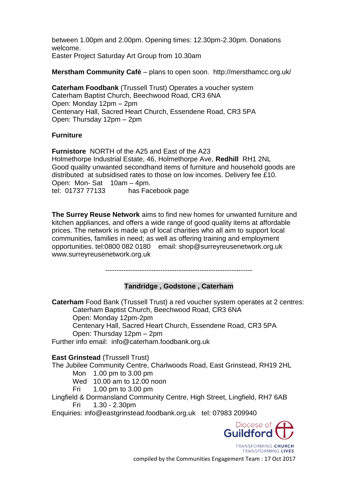between 1.00pm and 2.00pm. Opening times: 12.30pm-2.30pm. Donations welcome. Easter Project Saturday Art Group from 10.30am

**Merstham Community Café** – plans to open soon. http://mersthamcc.org.uk/

**Caterham Foodbank** (Trussell Trust) Operates a voucher system Caterham Baptist Church, Beechwood Road, CR3 6NA Open: Monday 12pm – 2pm Centenary Hall, Sacred Heart Church, Essendene Road, CR3 5PA Open: Thursday 12pm – 2pm

#### **Furniture**

**Furnistore** NORTH of the A25 and East of the A23 Holmethorpe Industrial Estate, 46, Holmethorpe Ave, **Redhill** RH1 2NL Good quality unwanted secondhand items of furniture and household goods are distributed at subsidised rates to those on low incomes. Delivery fee £10. Open: Mon- Sat 10am – 4pm. tel: 01737 77133 has Facebook page

**The Surrey Reuse Network** aims to find new homes for unwanted furniture and kitchen appliances, and offers a wide range of good quality items at affordable prices. The network is made up of local charities who all aim to support local communities, families in need; as well as offering training and employment opportunities. tel:0800 082 0180 email: shop@surreyreusenetwork.org.uk www.surreyreusenetwork.org.uk

----------------------------------------------------------------

# **Tandridge , Godstone , Caterham**

**Caterham** Food Bank (Trussell Trust) a red voucher system operates at 2 centres: Caterham Baptist Church, Beechwood Road, CR3 6NA Open: Monday 12pm-2pm Centenary Hall, Sacred Heart Church, Essendene Road, CR3 5PA Open: Thursday 12pm – 2pm Further info email: [info@caterham.foodbank.org.uk](mailto:info@caterham.foodbank.org.uk)

**East Grinstead (Trussell Trust)** 

The Jubilee Community Centre, Charlwoods Road, East Grinstead, RH19 2HL

Mon 1.00 pm to 3.00 pm

- Wed 10.00 am to 12.00 noon
- Fri 1.00 pm to 3.00 pm

Lingfield & Dormansland Community Centre, High Street, Lingfield, RH7 6AB Fri 1.30 - 2.30pm

Enquiries: info@eastgrinstead.foodbank.org.uk tel: 07983 209940

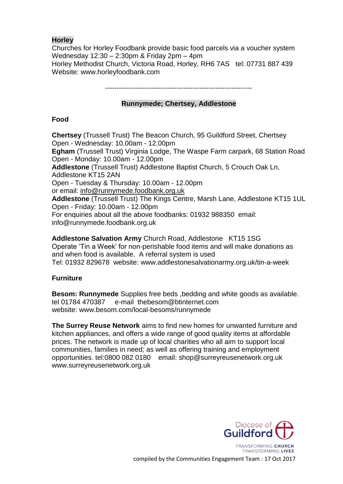# **Horley**

Churches for Horley Foodbank provide basic food parcels via a voucher system Wednesday 12:30 – 2:30pm & Friday 2pm – 4pm Horley Methodist Church, Victoria Road, Horley, RH6 7AS tel: 07731 887 439 Website: www.horleyfoodbank.com

# **Runnymede; Chertsey, Addlestone**

# **Food**

**Chertsey** (Trussell Trust) The Beacon Church, 95 Guildford Street, Chertsey Open - Wednesday: 10.00am - 12.00pm **Egham** (Trussell Trust) Virginia Lodge, The Waspe Farm carpark, 68 Station Road Open - Monday: 10.00am - 12.00pm **Addlestone** (Trussell Trust) Addlestone Baptist Church, 5 Crouch Oak Ln, Addlestone KT15 2AN Open - Tuesday & Thursday: 10.00am - 12.00pm or email: [info@runnymede.foodbank.org.uk](mailto:info@runnymede.foodbank.org.uk) **Addlestone** (Trussell Trust) The Kings Centre, Marsh Lane, Addlestone KT15 1UL Open - Friday: 10.00am - 12.00pm For enquiries about all the above foodbanks: 01932 988350 email: info@runnymede.foodbank.org.uk

**Addlestone Salvation Army** Church Road, Addlestone KT15 1SG Operate 'Tin a Week' for non-perishable food items and will make donations as and when food is available. A referral system is used Tel: 01932 829678 website: www.addlestonesalvationarmy.org.uk/tin-a-week

# **Furniture**

**Besom: Runnymede** Supplies free beds ,bedding and white goods as available. tel 01784 470387 e-mail thebesom@btinternet.com website: www.besom.com/local-besoms/runnymede

**The Surrey Reuse Network** aims to find new homes for unwanted furniture and kitchen appliances, and offers a wide range of good quality items at affordable prices. The network is made up of local charities who all aim to support local communities, families in need; as well as offering training and employment opportunities. tel:0800 082 0180 email: shop@surreyreusenetwork.org.uk www.surreyreusenetwork.org.uk

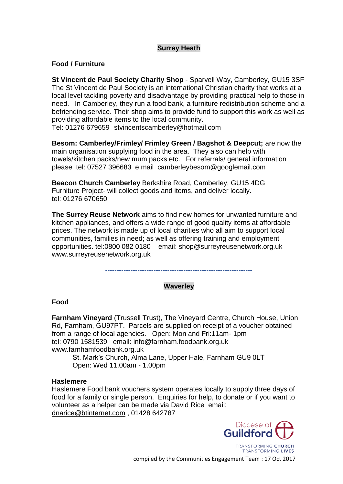#### **Surrey Heath**

#### **Food / Furniture**

**St Vincent de Paul Society Charity Shop** - Sparvell Way, Camberley, GU15 3SF The St Vincent de Paul Society is an international Christian charity that works at a local level tackling poverty and disadvantage by providing practical help to those in need. In Camberley, they run a food bank, a furniture redistribution scheme and a befriending service. Their shop aims to provide fund to support this work as well as providing affordable items to the local community.

Tel: 01276 679659 stvincentscamberley@hotmail.com

**Besom: Camberley/Frimley/ Frimley Green / Bagshot & Deepcut;** are now the main organisation supplying food in the area. They also can help with towels/kitchen packs/new mum packs etc. For referrals/ general information please tel: 07527 396683 e.mail camberleybesom@googlemail.com

**Beacon Church Camberley** Berkshire Road, Camberley, GU15 4DG Furniture Project- will collect goods and items, and deliver locally. tel: 01276 670650

**The Surrey Reuse Network** aims to find new homes for unwanted furniture and kitchen appliances, and offers a wide range of good quality items at affordable prices. The network is made up of local charities who all aim to support local communities, families in need; as well as offering training and employment opportunities. tel:0800 082 0180 email: shop@surreyreusenetwork.org.uk www.surreyreusenetwork.org.uk

----------------------------------------------------------------

# **Waverley**

**Food**

**Farnham Vineyard** (Trussell Trust), The Vineyard Centre, Church House, Union Rd, Farnham, GU97PT. Parcels are supplied on receipt of a voucher obtained from a range of local agencies. Open: Mon and Fri:11am- 1pm tel: 0790 1581539 email: [info@farnham.foodbank.org.uk](mailto:info@farnham.foodbank.org.uk)  www.farnhamfoodbank.org.uk

St. Mark's Church, Alma Lane, Upper Hale, Farnham GU9 0LT Open: Wed 11.00am - 1.00pm

#### **Haslemere**

Haslemere Food bank vouchers system operates locally to supply three days of food for a family or single person. Enquiries for help, to donate or if you want to volunteer as a helper can be made via David Rice email: [dnarice@btinternet.com](mailto:dnarice@btinternet.com) , 01428 642787

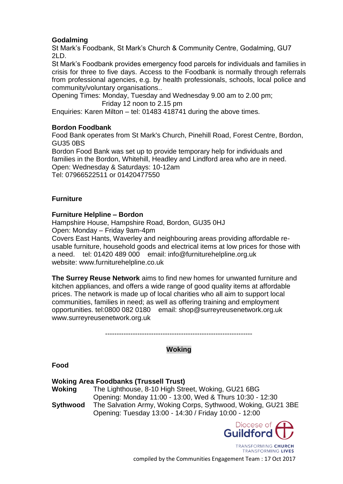### **Godalming**

St Mark's Foodbank, St Mark's Church & Community Centre, Godalming, GU7  $2\mathsf{LD}$ 

St Mark's Foodbank provides emergency food parcels for individuals and families in crisis for three to five days. Access to the Foodbank is normally through referrals from professional agencies, e.g. by health professionals, schools, local police and community/voluntary organisations..

Opening Times: Monday, Tuesday and Wednesday 9.00 am to 2.00 pm; Friday 12 noon to 2.15 pm

Enquiries: Karen Milton – tel: 01483 418741 during the above times.

#### **Bordon Foodbank**

Food Bank operates from St Mark's Church, Pinehill Road, Forest Centre, Bordon, GU35 0BS

Bordon Food Bank was set up to provide temporary help for individuals and families in the Bordon, Whitehill, Headley and Lindford area who are in need. Open: Wednesday & Saturdays: 10-12am Tel: 07966522511 or 01420477550

#### **Furniture**

#### **Furniture Helpline – Bordon**

Hampshire House, Hampshire Road, Bordon, GU35 0HJ Open: Monday – Friday 9am-4pm

Covers East Hants, Waverley and neighbouring areas providing affordable reusable furniture, household goods and electrical items at low prices for those with a need. tel: 01420 489 000 email: info@furniturehelpline.org.uk website: www.furniturehelpline.co.uk

**The Surrey Reuse Network** aims to find new homes for unwanted furniture and kitchen appliances, and offers a wide range of good quality items at affordable prices. The network is made up of local charities who all aim to support local communities, families in need; as well as offering training and employment opportunities. tel:0800 082 0180 email: shop@surreyreusenetwork.org.uk www.surreyreusenetwork.org.uk

----------------------------------------------------------------

# **Woking**

**Food**

#### **Woking Area Foodbanks (Trussell Trust)**

**Woking** The Lighthouse, 8-10 High Street, Woking, GU21 6BG Opening: Monday 11:00 - 13:00, Wed & Thurs 10:30 - 12:30 **Sythwood** The Salvation Army, Woking Corps, Sythwood, Woking, GU21 3BE Opening: Tuesday 13:00 - 14:30 / Friday 10:00 - 12:00



TRANSFORMING CHURCH TRANSFORMING LIVES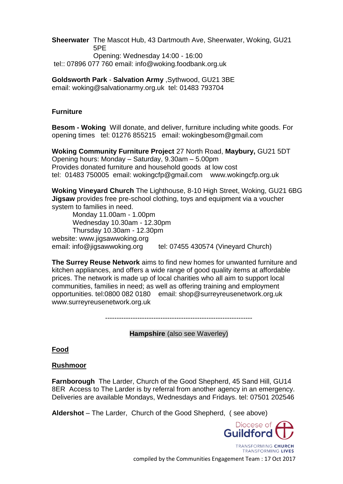**Sheerwater** The Mascot Hub, 43 Dartmouth Ave, Sheerwater, Woking, GU21 5PE Opening: Wednesday 14:00 - 16:00

tel:: 07896 077 760 email: info@woking.foodbank.org.uk

**Goldsworth Park** - **Salvation Army** ,Sythwood, GU21 3BE email: woking@salvationarmy.org.uk tel: 01483 793704

### **Furniture**

**Besom - Woking** Will donate, and deliver, furniture including white goods. For opening times tel: 01276 855215 email: wokingbesom@gmail.com

**Woking Community Furniture Project** 27 North Road, **Maybury,** GU21 5DT Opening hours: Monday – Saturday, 9.30am – 5.00pm Provides donated furniture and household goods at low cost tel: 01483 750005 email: wokingcfp@gmail.com www.wokingcfp.org.uk

**Woking Vineyard Church** The Lighthouse, 8-10 High Street, Woking, GU21 6BG **Jigsaw** provides free pre-school clothing, toys and equipment via a voucher system to families in need.

Monday 11.00am - 1.00pm Wednesday 10.30am - 12.30pm Thursday 10.30am - 12.30pm website: www.jigsawwoking.org email: info@jigsawwoking.org tel: 07455 430574 (Vineyard Church)

**The Surrey Reuse Network** aims to find new homes for unwanted furniture and kitchen appliances, and offers a wide range of good quality items at affordable prices. The network is made up of local charities who all aim to support local communities, families in need; as well as offering training and employment opportunities. tel:0800 082 0180 email: shop@surreyreusenetwork.org.uk www.surreyreusenetwork.org.uk

**Hampshire** (also see Waverley)

# **Food**

# **Rushmoor**

**Farnborough** The Larder, Church of the Good Shepherd, 45 Sand Hill, GU14 8ER Access to The Larder is by referral from another agency in an emergency. Deliveries are available Mondays, Wednesdays and Fridays. tel: 07501 202546

**Aldershot** – The Larder, Church of the Good Shepherd, ( see above)



**TRANSFORMING LIVES** compiled by the Communities Engagement Team : 17 Oct 2017

<sup>----------------------------------------------------------------</sup>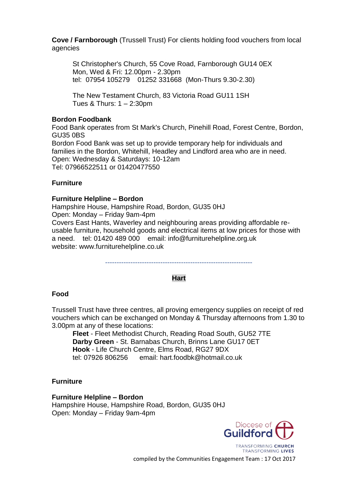**Cove / Farnborough** (Trussell Trust) For clients holding food vouchers from local agencies

St Christopher's Church, 55 Cove Road, Farnborough GU14 0EX Mon, Wed & Fri: 12.00pm - 2.30pm tel: 07954 105279 01252 331668 (Mon-Thurs 9.30-2.30)

The New Testament Church, 83 Victoria Road GU11 1SH Tues & Thurs: 1 – 2:30pm

#### **Bordon Foodbank**

Food Bank operates from St Mark's Church, Pinehill Road, Forest Centre, Bordon, GU35 0BS Bordon Food Bank was set up to provide temporary help for individuals and families in the Bordon, Whitehill, Headley and Lindford area who are in need. Open: Wednesday & Saturdays: 10-12am Tel: 07966522511 or 01420477550

#### **Furniture**

#### **Furniture Helpline – Bordon**

Hampshire House, Hampshire Road, Bordon, GU35 0HJ Open: Monday – Friday 9am-4pm Covers East Hants, Waverley and neighbouring areas providing affordable reusable furniture, household goods and electrical items at low prices for those with a need. tel: 01420 489 000 email: info@furniturehelpline.org.uk website: www.furniturehelpline.co.uk

----------------------------------------------------------------

#### **Hart**

#### **Food**

Trussell Trust have three centres, all proving emergency supplies on receipt of red vouchers which can be exchanged on Monday & Thursday afternoons from 1.30 to 3.00pm at any of these locations:

**Fleet** - Fleet Methodist Church, Reading Road South, GU52 7TE **Darby Green** - St. Barnabas Church, Brinns Lane GU17 0ET **Hook** - Life Church Centre, Elms Road, RG27 9DX tel: 07926 806256 email: hart.foodbk@hotmail.co.uk

#### **Furniture**

#### **Furniture Helpline – Bordon**

Hampshire House, Hampshire Road, Bordon, GU35 0HJ Open: Monday – Friday 9am-4pm



TRANSFORMING CHURCH TRANSFORMING LIVES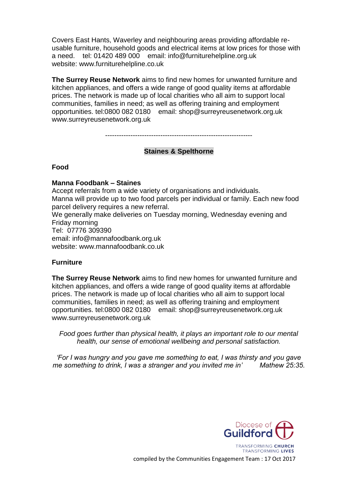Covers East Hants, Waverley and neighbouring areas providing affordable reusable furniture, household goods and electrical items at low prices for those with a need. tel: 01420 489 000 email: info@furniturehelpline.org.uk website: www.furniturehelpline.co.uk

**The Surrey Reuse Network** aims to find new homes for unwanted furniture and kitchen appliances, and offers a wide range of good quality items at affordable prices. The network is made up of local charities who all aim to support local communities, families in need; as well as offering training and employment opportunities. tel:0800 082 0180 email: shop@surreyreusenetwork.org.uk www.surreyreusenetwork.org.uk

----------------------------------------------------------------

#### **Staines & Spelthorne**

#### **Food**

#### **Manna Foodbank – Staines**

Accept referrals from a wide variety of organisations and individuals. Manna will provide up to two food parcels per individual or family. Each new food parcel delivery requires a new referral. We generally make deliveries on Tuesday morning, Wednesday evening and Friday morning

Tel: 07776 309390

email: info@mannafoodbank.org.uk

website: www.mannafoodbank.co.uk

#### **Furniture**

**The Surrey Reuse Network** aims to find new homes for unwanted furniture and kitchen appliances, and offers a wide range of good quality items at affordable prices. The network is made up of local charities who all aim to support local communities, families in need; as well as offering training and employment opportunities. tel:0800 082 0180 email: shop@surreyreusenetwork.org.uk www.surreyreusenetwork.org.uk

*Food goes further than physical health, it plays an important role to our mental health, our sense of emotional wellbeing and personal satisfaction.*

*'For I was hungry and you gave me something to eat, I was thirsty and you gave me something to drink, I was a stranger and you invited me in' Mathew 25:35.*

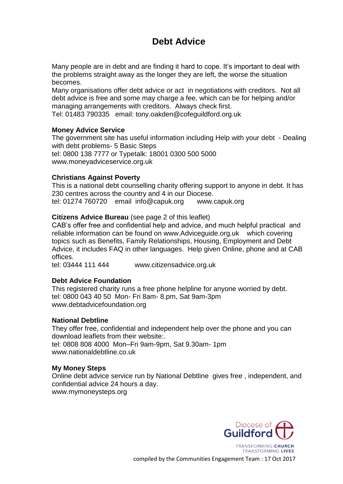# **Debt Advice**

Many people are in debt and are finding it hard to cope. It's important to deal with the problems straight away as the longer they are left, the worse the situation becomes.

Many organisations offer debt advice or act in negotiations with creditors. Not all debt advice is free and some may charge a fee, which can be for helping and/or managing arrangements with creditors. Always check first.

Tel: 01483 790335 email: tony.oakden@cofeguildford.org.uk

#### **Money Advice Service**

The government site has useful information including Help with your debt - Dealing with debt problems- 5 Basic Steps tel: 0800 138 7777 or Typetalk: 18001 0300 500 5000 www.moneyadviceservice.org.uk

#### **Christians Against Poverty**

This is a national debt counselling charity offering support to anyone in debt. It has 230 centres across the country and 4 in our Diocese. tel: 01274 760720 email info@capuk.org www.capuk.org

#### **Citizens Advice Bureau** (see page 2 of this leaflet)

CAB's offer free and confidential help and advice, and much helpful practical and reliable information can be found on www.Adviceguide.org.uk which covering topics such as Benefits, Family Relationships, Housing, Employment and Debt Advice, it includes FAQ in other languages. Help given Online, phone and at CAB offices.

tel: 03444 111 444 www.citizensadvice.org.uk

#### **Debt Advice Foundation**

This registered charity runs a free phone helpline for anyone worried by debt. tel: 0800 043 40 50 Mon- Fri 8am- 8.pm, Sat 9am-3pm www.debtadvicefoundation.org

# **National Debtline**

They offer free, confidential and independent help over the phone and you can download leaflets from their website:. tel: 0808 808 4000 Mon–Fri 9am-9pm, Sat 9.30am- 1pm www.nationaldebtline.co.uk

#### **My Money Steps**

Online debt advice service run by National Debtline gives free , independent, and confidential advice 24 hours a day. www.mymoneysteps.org



TRANSFORMING LIVES